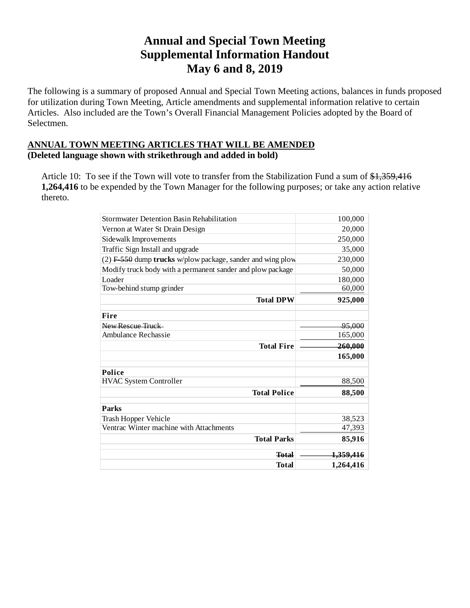## **Annual and Special Town Meeting Supplemental Information Handout May 6 and 8, 2019**

The following is a summary of proposed Annual and Special Town Meeting actions, balances in funds proposed for utilization during Town Meeting, Article amendments and supplemental information relative to certain Articles. Also included are the Town's Overall Financial Management Policies adopted by the Board of Selectmen.

### **ANNUAL TOWN MEETING ARTICLES THAT WILL BE AMENDED (Deleted language shown with strikethrough and added in bold)**

Article 10: To see if the Town will vote to transfer from the Stabilization Fund a sum of \$1,359,416 **1,264,416** to be expended by the Town Manager for the following purposes; or take any action relative thereto.

| <b>Stormwater Detention Basin Rehabilitation</b>             | 100,000              |
|--------------------------------------------------------------|----------------------|
| Vernon at Water St Drain Design                              | 20,000               |
| Sidewalk Improvements                                        | 250,000              |
| Traffic Sign Install and upgrade                             | 35,000               |
| $(2)$ F 550 dump trucks w/plow package, sander and wing plow | 230,000              |
| Modify truck body with a permanent sander and plow package   | 50,000               |
| Loader                                                       | 180,000              |
| Tow-behind stump grinder                                     | 60,000               |
| <b>Total DPW</b>                                             | 925,000              |
| Fire                                                         |                      |
| New Rescue Truck                                             | <del>95.000</del>    |
| Ambulance Rechassie                                          | 165,000              |
| <b>Total Fire</b>                                            | 260,000              |
|                                                              | 165,000              |
| <b>Police</b>                                                |                      |
| <b>HVAC System Controller</b>                                | 88,500               |
| <b>Total Police</b>                                          | 88,500               |
| <b>Parks</b>                                                 |                      |
| Trash Hopper Vehicle                                         | 38,523               |
| Ventrac Winter machine with Attachments                      | 47,393               |
| <b>Total Parks</b>                                           | 85,916               |
| <b>Total</b>                                                 | <del>1,359,416</del> |
| Total                                                        | 1,264,416            |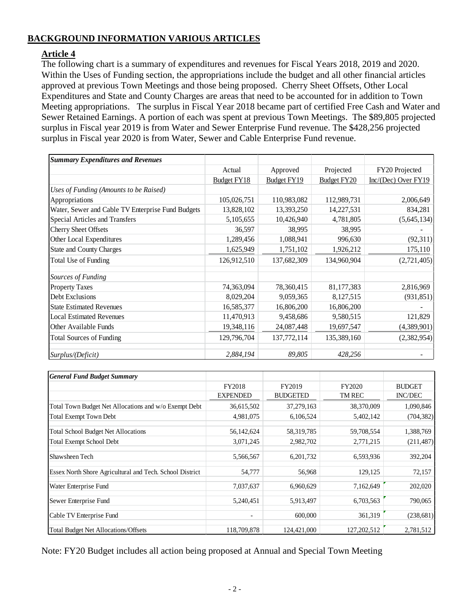### **BACKGROUND INFORMATION VARIOUS ARTICLES**

### **Article 4**

The following chart is a summary of expenditures and revenues for Fiscal Years 2018, 2019 and 2020. Within the Uses of Funding section, the appropriations include the budget and all other financial articles approved at previous Town Meetings and those being proposed. Cherry Sheet Offsets, Other Local Expenditures and State and County Charges are areas that need to be accounted for in addition to Town Meeting appropriations. The surplus in Fiscal Year 2018 became part of certified Free Cash and Water and Sewer Retained Earnings. A portion of each was spent at previous Town Meetings. The \$89,805 projected surplus in Fiscal year 2019 is from Water and Sewer Enterprise Fund revenue. The \$428,256 projected surplus in Fiscal year 2020 is from Water, Sewer and Cable Enterprise Fund revenue.

| <b>Summary Expenditures and Revenues</b>          |             |                    |                    |                         |
|---------------------------------------------------|-------------|--------------------|--------------------|-------------------------|
|                                                   | Actual      | Approved           | Projected          | FY20 Projected          |
|                                                   | Budget FY18 | <b>Budget FY19</b> | <b>Budget FY20</b> | $Inc/(Dec)$ Over $FY19$ |
| Uses of Funding (Amounts to be Raised)            |             |                    |                    |                         |
| Appropriations                                    | 105,026,751 | 110,983,082        | 112,989,731        | 2,006,649               |
| Water, Sewer and Cable TV Enterprise Fund Budgets | 13,828,102  | 13,393,250         | 14,227,531         | 834,281                 |
| Special Articles and Transfers                    | 5,105,655   | 10,426,940         | 4,781,805          | (5,645,134)             |
| <b>Cherry Sheet Offsets</b>                       | 36,597      | 38,995             | 38,995             |                         |
| Other Local Expenditures                          | 1,289,456   | 1,088,941          | 996,630            | (92,311)                |
| <b>State and County Charges</b>                   | 1,625,949   | 1,751,102          | 1,926,212          | 175,110                 |
| Total Use of Funding                              | 126,912,510 | 137,682,309        | 134,960,904        | (2,721,405)             |
| Sources of Funding                                |             |                    |                    |                         |
| <b>Property Taxes</b>                             | 74,363,094  | 78,360,415         | 81,177,383         | 2,816,969               |
| Debt Exclusions                                   | 8,029,204   | 9,059,365          | 8,127,515          | (931, 851)              |
| <b>State Estimated Revenues</b>                   | 16,585,377  | 16,806,200         | 16,806,200         |                         |
| <b>Local Estimated Revenues</b>                   | 11,470,913  | 9,458,686          | 9,580,515          | 121,829                 |
| Other Available Funds                             | 19,348,116  | 24,087,448         | 19,697,547         | (4,389,901)             |
| <b>Total Sources of Funding</b>                   | 129,796,704 | 137,772,114        | 135,389,160        | (2,382,954)             |
| Surplus/(Deficit)                                 | 2,884,194   | 89,805             | 428,256            |                         |

| <b>General Fund Budget Summary</b>                       |                          |                 |             |                |
|----------------------------------------------------------|--------------------------|-----------------|-------------|----------------|
|                                                          | FY2018                   | FY2019          | FY2020      | <b>BUDGET</b>  |
|                                                          | <b>EXPENDED</b>          | <b>BUDGETED</b> | TM REC      | <b>INC/DEC</b> |
| Total Town Budget Net Allocations and w/o Exempt Debt    | 36,615,502               | 37,279,163      | 38,370,009  | 1,090,846      |
| <b>Total Exempt Town Debt</b>                            | 4,981,075                | 6,106,524       | 5,402,142   | (704, 382)     |
| <b>Total School Budget Net Allocations</b>               | 56,142,624               | 58, 319, 785    | 59,708,554  | 1,388,769      |
| <b>Total Exempt School Debt</b>                          | 3,071,245                | 2,982,702       | 2,771,215   | (211, 487)     |
| Shawsheen Tech                                           | 5,566,567                | 6,201,732       | 6,593,936   | 392,204        |
| Essex North Shore Agricultural and Tech. School District | 54,777                   | 56,968          | 129,125     | 72,157         |
| Water Enterprise Fund                                    | 7,037,637                | 6,960,629       | 7,162,649   | 202,020        |
| Sewer Enterprise Fund                                    | 5,240,451                | 5,913,497       | 6,703,563   | 790,065        |
| Cable TV Enterprise Fund                                 | $\overline{\phantom{a}}$ | 600,000         | 361,319     | (238, 681)     |
| Total Budget Net Allocations/Offsets                     | 118,709,878              | 124,421,000     | 127,202,512 | 2,781,512      |

Note: FY20 Budget includes all action being proposed at Annual and Special Town Meeting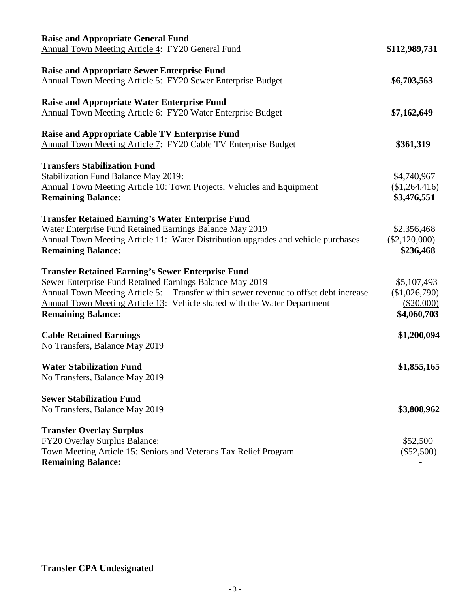| <b>Raise and Appropriate General Fund</b><br>Annual Town Meeting Article 4: FY20 General Fund                                                                                                                                                                                                                         | \$112,989,731                                             |
|-----------------------------------------------------------------------------------------------------------------------------------------------------------------------------------------------------------------------------------------------------------------------------------------------------------------------|-----------------------------------------------------------|
| <b>Raise and Appropriate Sewer Enterprise Fund</b><br>Annual Town Meeting Article 5: FY20 Sewer Enterprise Budget                                                                                                                                                                                                     | \$6,703,563                                               |
| <b>Raise and Appropriate Water Enterprise Fund</b><br>Annual Town Meeting Article 6: FY20 Water Enterprise Budget                                                                                                                                                                                                     | \$7,162,649                                               |
| <b>Raise and Appropriate Cable TV Enterprise Fund</b><br>Annual Town Meeting Article 7: FY20 Cable TV Enterprise Budget                                                                                                                                                                                               | \$361,319                                                 |
| <b>Transfers Stabilization Fund</b><br><b>Stabilization Fund Balance May 2019:</b><br>Annual Town Meeting Article 10: Town Projects, Vehicles and Equipment<br><b>Remaining Balance:</b>                                                                                                                              | \$4,740,967<br>(\$1,264,416)<br>\$3,476,551               |
| <b>Transfer Retained Earning's Water Enterprise Fund</b><br>Water Enterprise Fund Retained Earnings Balance May 2019<br>Annual Town Meeting Article 11: Water Distribution upgrades and vehicle purchases<br><b>Remaining Balance:</b>                                                                                | \$2,356,468<br>(\$2,120,000)<br>\$236,468                 |
| <b>Transfer Retained Earning's Sewer Enterprise Fund</b><br>Sewer Enterprise Fund Retained Earnings Balance May 2019<br>Annual Town Meeting Article 5: Transfer within sewer revenue to offset debt increase<br>Annual Town Meeting Article 13: Vehicle shared with the Water Department<br><b>Remaining Balance:</b> | \$5,107,493<br>(\$1,026,790)<br>(\$20,000)<br>\$4,060,703 |
| <b>Cable Retained Earnings</b><br>No Transfers, Balance May 2019                                                                                                                                                                                                                                                      | \$1,200,094                                               |
| <b>Water Stabilization Fund</b><br>No Transfers, Balance May 2019                                                                                                                                                                                                                                                     | \$1,855,165                                               |
| <b>Sewer Stabilization Fund</b><br>No Transfers, Balance May 2019                                                                                                                                                                                                                                                     | \$3,808,962                                               |
| <b>Transfer Overlay Surplus</b><br>FY20 Overlay Surplus Balance:<br>Town Meeting Article 15: Seniors and Veterans Tax Relief Program<br><b>Remaining Balance:</b>                                                                                                                                                     | \$52,500<br>$(\$52,500)$                                  |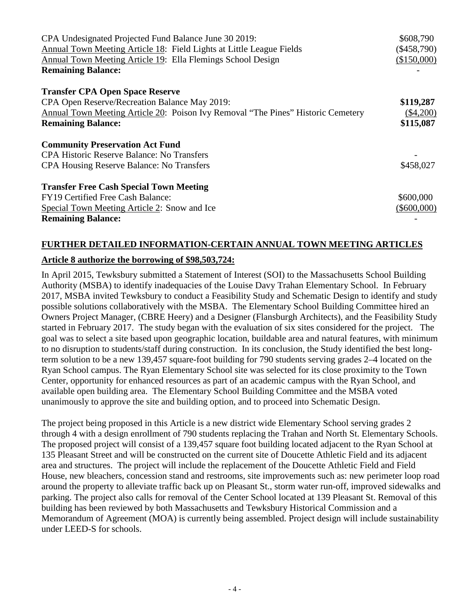| CPA Undesignated Projected Fund Balance June 30 2019:                            | \$608,790     |
|----------------------------------------------------------------------------------|---------------|
| Annual Town Meeting Article 18: Field Lights at Little League Fields             | $(\$458,790)$ |
| Annual Town Meeting Article 19: Ella Flemings School Design                      | (\$150,000)   |
| <b>Remaining Balance:</b>                                                        |               |
| <b>Transfer CPA Open Space Reserve</b>                                           |               |
| CPA Open Reserve/Recreation Balance May 2019:                                    | \$119,287     |
| Annual Town Meeting Article 20: Poison Ivy Removal "The Pines" Historic Cemetery | $(\$4,200)$   |
| <b>Remaining Balance:</b>                                                        | \$115,087     |
| <b>Community Preservation Act Fund</b>                                           |               |
| <b>CPA Historic Reserve Balance: No Transfers</b>                                |               |
| <b>CPA Housing Reserve Balance: No Transfers</b>                                 | \$458,027     |
| <b>Transfer Free Cash Special Town Meeting</b>                                   |               |
| FY19 Certified Free Cash Balance:                                                | \$600,000     |
| Special Town Meeting Article 2: Snow and Ice                                     | $(\$600,000)$ |
| <b>Remaining Balance:</b>                                                        |               |

# **FURTHER DETAILED INFORMATION-CERTAIN ANNUAL TOWN MEETING ARTICLES**

### **Article 8 authorize the borrowing of \$98,503,724:**

In April 2015, Tewksbury submitted a Statement of Interest (SOI) to the Massachusetts School Building Authority (MSBA) to identify inadequacies of the Louise Davy Trahan Elementary School. In February 2017, MSBA invited Tewksbury to conduct a Feasibility Study and Schematic Design to identify and study possible solutions collaboratively with the MSBA. The Elementary School Building Committee hired an Owners Project Manager, (CBRE Heery) and a Designer (Flansburgh Architects), and the Feasibility Study started in February 2017. The study began with the evaluation of six sites considered for the project. The goal was to select a site based upon geographic location, buildable area and natural features, with minimum to no disruption to students/staff during construction. In its conclusion, the Study identified the best longterm solution to be a new 139,457 square-foot building for 790 students serving grades 2–4 located on the Ryan School campus. The Ryan Elementary School site was selected for its close proximity to the Town Center, opportunity for enhanced resources as part of an academic campus with the Ryan School, and available open building area. The Elementary School Building Committee and the MSBA voted unanimously to approve the site and building option, and to proceed into Schematic Design.

The project being proposed in this Article is a new district wide Elementary School serving grades 2 through 4 with a design enrollment of 790 students replacing the Trahan and North St. Elementary Schools. The proposed project will consist of a 139,457 square foot building located adjacent to the Ryan School at 135 Pleasant Street and will be constructed on the current site of Doucette Athletic Field and its adjacent area and structures. The project will include the replacement of the Doucette Athletic Field and Field House, new bleachers, concession stand and restrooms, site improvements such as: new perimeter loop road around the property to alleviate traffic back up on Pleasant St., storm water run-off, improved sidewalks and parking. The project also calls for removal of the Center School located at 139 Pleasant St. Removal of this building has been reviewed by both Massachusetts and Tewksbury Historical Commission and a Memorandum of Agreement (MOA) is currently being assembled. Project design will include sustainability under LEED-S for schools.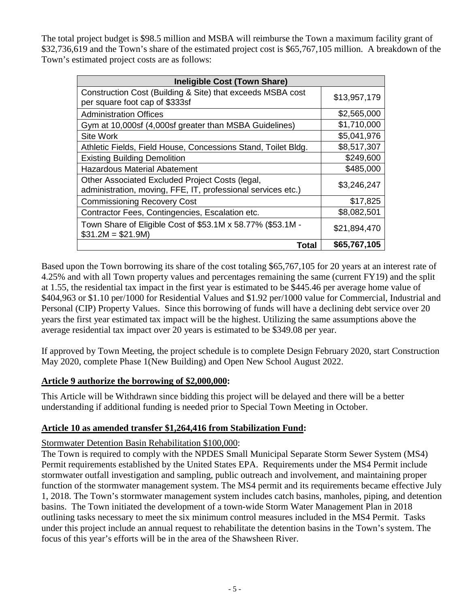The total project budget is \$98.5 million and MSBA will reimburse the Town a maximum facility grant of \$32,736,619 and the Town's share of the estimated project cost is \$65,767,105 million. A breakdown of the Town's estimated project costs are as follows:

| <b>Ineligible Cost (Town Share)</b>                                                                             |              |  |
|-----------------------------------------------------------------------------------------------------------------|--------------|--|
| Construction Cost (Building & Site) that exceeds MSBA cost<br>per square foot cap of \$333sf                    | \$13,957,179 |  |
| <b>Administration Offices</b>                                                                                   | \$2,565,000  |  |
| Gym at 10,000sf (4,000sf greater than MSBA Guidelines)                                                          | \$1,710,000  |  |
| <b>Site Work</b>                                                                                                | \$5,041,976  |  |
| Athletic Fields, Field House, Concessions Stand, Toilet Bldg.                                                   | \$8,517,307  |  |
| <b>Existing Building Demolition</b>                                                                             | \$249,600    |  |
| <b>Hazardous Material Abatement</b>                                                                             | \$485,000    |  |
| Other Associated Excluded Project Costs (legal,<br>administration, moving, FFE, IT, professional services etc.) | \$3,246,247  |  |
| <b>Commissioning Recovery Cost</b>                                                                              | \$17,825     |  |
| Contractor Fees, Contingencies, Escalation etc.                                                                 | \$8,082,501  |  |
| Town Share of Eligible Cost of \$53.1M x 58.77% (\$53.1M -<br>$$31.2M = $21.9M$                                 | \$21,894,470 |  |
| Total                                                                                                           | \$65,767,105 |  |

Based upon the Town borrowing its share of the cost totaling \$65,767,105 for 20 years at an interest rate of 4.25% and with all Town property values and percentages remaining the same (current FY19) and the split at 1.55, the residential tax impact in the first year is estimated to be \$445.46 per average home value of \$404,963 or \$1.10 per/1000 for Residential Values and \$1.92 per/1000 value for Commercial, Industrial and Personal (CIP) Property Values. Since this borrowing of funds will have a declining debt service over 20 years the first year estimated tax impact will be the highest. Utilizing the same assumptions above the average residential tax impact over 20 years is estimated to be \$349.08 per year.

If approved by Town Meeting, the project schedule is to complete Design February 2020, start Construction May 2020, complete Phase 1(New Building) and Open New School August 2022.

### **Article 9 authorize the borrowing of \$2,000,000:**

This Article will be Withdrawn since bidding this project will be delayed and there will be a better understanding if additional funding is needed prior to Special Town Meeting in October.

### **Article 10 as amended transfer \$1,264,416 from Stabilization Fund:**

Stormwater Detention Basin Rehabilitation \$100,000:

The Town is required to comply with the NPDES Small Municipal Separate Storm Sewer System (MS4) Permit requirements established by the United States EPA. Requirements under the MS4 Permit include stormwater outfall investigation and sampling, public outreach and involvement, and maintaining proper function of the stormwater management system. The MS4 permit and its requirements became effective July 1, 2018. The Town's stormwater management system includes catch basins, manholes, piping, and detention basins. The Town initiated the development of a town-wide Storm Water Management Plan in 2018 outlining tasks necessary to meet the six minimum control measures included in the MS4 Permit. Tasks under this project include an annual request to rehabilitate the detention basins in the Town's system. The focus of this year's efforts will be in the area of the Shawsheen River.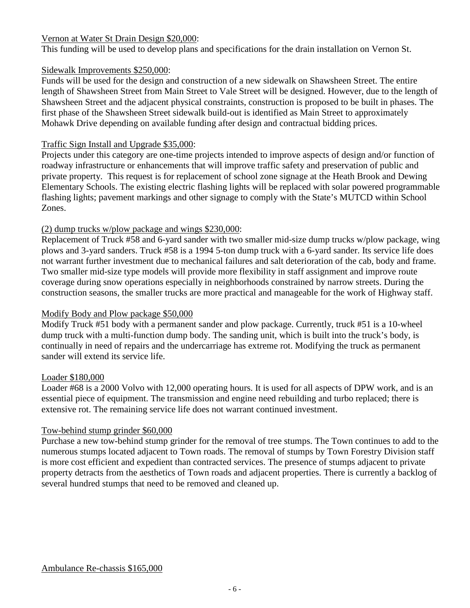### Vernon at Water St Drain Design \$20,000:

This funding will be used to develop plans and specifications for the drain installation on Vernon St.

### Sidewalk Improvements \$250,000:

Funds will be used for the design and construction of a new sidewalk on Shawsheen Street. The entire length of Shawsheen Street from Main Street to Vale Street will be designed. However, due to the length of Shawsheen Street and the adjacent physical constraints, construction is proposed to be built in phases. The first phase of the Shawsheen Street sidewalk build-out is identified as Main Street to approximately Mohawk Drive depending on available funding after design and contractual bidding prices.

### Traffic Sign Install and Upgrade \$35,000:

Projects under this category are one-time projects intended to improve aspects of design and/or function of roadway infrastructure or enhancements that will improve traffic safety and preservation of public and private property. This request is for replacement of school zone signage at the Heath Brook and Dewing Elementary Schools. The existing electric flashing lights will be replaced with solar powered programmable flashing lights; pavement markings and other signage to comply with the State's MUTCD within School Zones.

### (2) dump trucks w/plow package and wings \$230,000:

Replacement of Truck #58 and 6-yard sander with two smaller mid-size dump trucks w/plow package, wing plows and 3-yard sanders. Truck #58 is a 1994 5-ton dump truck with a 6-yard sander. Its service life does not warrant further investment due to mechanical failures and salt deterioration of the cab, body and frame. Two smaller mid-size type models will provide more flexibility in staff assignment and improve route coverage during snow operations especially in neighborhoods constrained by narrow streets. During the construction seasons, the smaller trucks are more practical and manageable for the work of Highway staff.

### Modify Body and Plow package \$50,000

Modify Truck #51 body with a permanent sander and plow package. Currently, truck #51 is a 10-wheel dump truck with a multi-function dump body. The sanding unit, which is built into the truck's body, is continually in need of repairs and the undercarriage has extreme rot. Modifying the truck as permanent sander will extend its service life.

### Loader \$180,000

Loader #68 is a 2000 Volvo with 12,000 operating hours. It is used for all aspects of DPW work, and is an essential piece of equipment. The transmission and engine need rebuilding and turbo replaced; there is extensive rot. The remaining service life does not warrant continued investment.

### Tow-behind stump grinder \$60,000

Purchase a new tow-behind stump grinder for the removal of tree stumps. The Town continues to add to the numerous stumps located adjacent to Town roads. The removal of stumps by Town Forestry Division staff is more cost efficient and expedient than contracted services. The presence of stumps adjacent to private property detracts from the aesthetics of Town roads and adjacent properties. There is currently a backlog of several hundred stumps that need to be removed and cleaned up.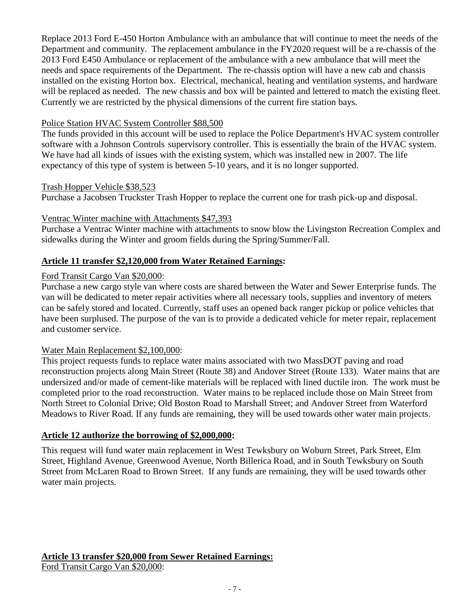Replace 2013 Ford E-450 Horton Ambulance with an ambulance that will continue to meet the needs of the Department and community. The replacement ambulance in the FY2020 request will be a re-chassis of the 2013 Ford E450 Ambulance or replacement of the ambulance with a new ambulance that will meet the needs and space requirements of the Department. The re-chassis option will have a new cab and chassis installed on the existing Horton box. Electrical, mechanical, heating and ventilation systems, and hardware will be replaced as needed. The new chassis and box will be painted and lettered to match the existing fleet. Currently we are restricted by the physical dimensions of the current fire station bays.

### Police Station HVAC System Controller \$88,500

The funds provided in this account will be used to replace the Police Department's HVAC system controller software with a Johnson Controls supervisory controller. This is essentially the brain of the HVAC system. We have had all kinds of issues with the existing system, which was installed new in 2007. The life expectancy of this type of system is between 5-10 years, and it is no longer supported.

Trash Hopper Vehicle \$38,523

Purchase a Jacobsen Truckster Trash Hopper to replace the current one for trash pick-up and disposal.

### Ventrac Winter machine with Attachments \$47,393

Purchase a Ventrac Winter machine with attachments to snow blow the Livingston Recreation Complex and sidewalks during the Winter and groom fields during the Spring/Summer/Fall.

### **Article 11 transfer \$2,120,000 from Water Retained Earnings:**

### Ford Transit Cargo Van \$20,000:

Purchase a new cargo style van where costs are shared between the Water and Sewer Enterprise funds. The van will be dedicated to meter repair activities where all necessary tools, supplies and inventory of meters can be safely stored and located. Currently, staff uses an opened back ranger pickup or police vehicles that have been surplused. The purpose of the van is to provide a dedicated vehicle for meter repair, replacement and customer service.

### Water Main Replacement \$2,100,000:

This project requests funds to replace water mains associated with two MassDOT paving and road reconstruction projects along Main Street (Route 38) and Andover Street (Route 133). Water mains that are undersized and/or made of cement-like materials will be replaced with lined ductile iron. The work must be completed prior to the road reconstruction. Water mains to be replaced include those on Main Street from North Street to Colonial Drive; Old Boston Road to Marshall Street; and Andover Street from Waterford Meadows to River Road. If any funds are remaining, they will be used towards other water main projects.

### **Article 12 authorize the borrowing of \$2,000,000:**

This request will fund water main replacement in West Tewksbury on Woburn Street, Park Street, Elm Street, Highland Avenue, Greenwood Avenue, North Billerica Road, and in South Tewksbury on South Street from McLaren Road to Brown Street. If any funds are remaining, they will be used towards other water main projects.

**Article 13 transfer \$20,000 from Sewer Retained Earnings:** Ford Transit Cargo Van \$20,000: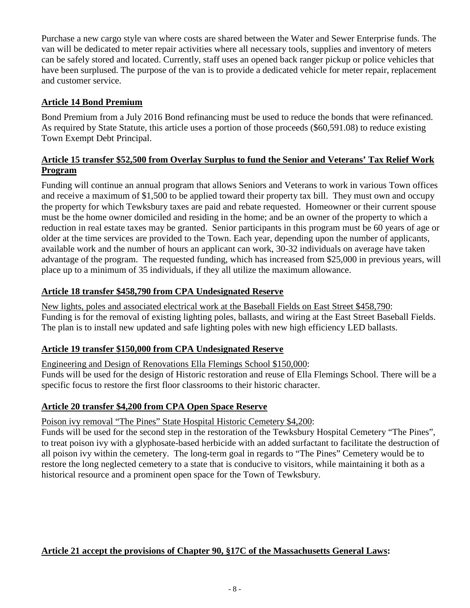Purchase a new cargo style van where costs are shared between the Water and Sewer Enterprise funds. The van will be dedicated to meter repair activities where all necessary tools, supplies and inventory of meters can be safely stored and located. Currently, staff uses an opened back ranger pickup or police vehicles that have been surplused. The purpose of the van is to provide a dedicated vehicle for meter repair, replacement and customer service.

### **Article 14 Bond Premium**

Bond Premium from a July 2016 Bond refinancing must be used to reduce the bonds that were refinanced. As required by State Statute, this article uses a portion of those proceeds (\$60,591.08) to reduce existing Town Exempt Debt Principal.

### **Article 15 transfer \$52,500 from Overlay Surplus to fund the Senior and Veterans' Tax Relief Work Program**

Funding will continue an annual program that allows Seniors and Veterans to work in various Town offices and receive a maximum of \$1,500 to be applied toward their property tax bill. They must own and occupy the property for which Tewksbury taxes are paid and rebate requested. Homeowner or their current spouse must be the home owner domiciled and residing in the home; and be an owner of the property to which a reduction in real estate taxes may be granted. Senior participants in this program must be 60 years of age or older at the time services are provided to the Town. Each year, depending upon the number of applicants, available work and the number of hours an applicant can work, 30-32 individuals on average have taken advantage of the program. The requested funding, which has increased from \$25,000 in previous years, will place up to a minimum of 35 individuals, if they all utilize the maximum allowance.

### **Article 18 transfer \$458,790 from CPA Undesignated Reserve**

New lights, poles and associated electrical work at the Baseball Fields on East Street \$458,790: Funding is for the removal of existing lighting poles, ballasts, and wiring at the East Street Baseball Fields. The plan is to install new updated and safe lighting poles with new high efficiency LED ballasts.

### **Article 19 transfer \$150,000 from CPA Undesignated Reserve**

Engineering and Design of Renovations Ella Flemings School \$150,000:

Funds will be used for the design of Historic restoration and reuse of Ella Flemings School. There will be a specific focus to restore the first floor classrooms to their historic character.

### **Article 20 transfer \$4,200 from CPA Open Space Reserve**

### Poison ivy removal "The Pines" State Hospital Historic Cemetery \$4,200:

Funds will be used for the second step in the restoration of the Tewksbury Hospital Cemetery "The Pines", to treat poison ivy with a glyphosate-based herbicide with an added surfactant to facilitate the destruction of all poison ivy within the cemetery. The long-term goal in regards to "The Pines" Cemetery would be to restore the long neglected cemetery to a state that is conducive to visitors, while maintaining it both as a historical resource and a prominent open space for the Town of Tewksbury.

### **Article 21 accept the provisions of Chapter 90, §17C of the Massachusetts General Laws:**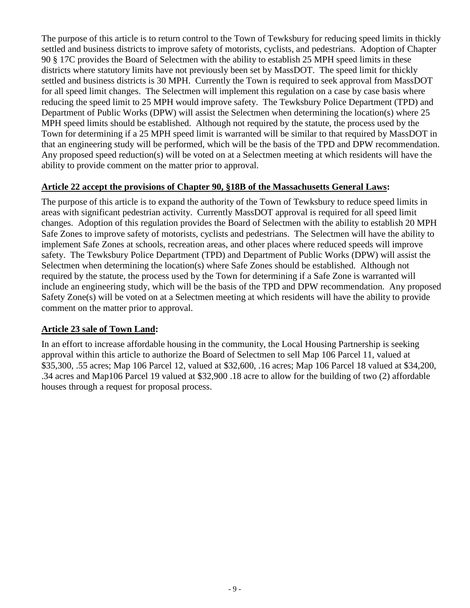The purpose of this article is to return control to the Town of Tewksbury for reducing speed limits in thickly settled and business districts to improve safety of motorists, cyclists, and pedestrians. Adoption of Chapter 90 § 17C provides the Board of Selectmen with the ability to establish 25 MPH speed limits in these districts where statutory limits have not previously been set by MassDOT. The speed limit for thickly settled and business districts is 30 MPH. Currently the Town is required to seek approval from MassDOT for all speed limit changes. The Selectmen will implement this regulation on a case by case basis where reducing the speed limit to 25 MPH would improve safety. The Tewksbury Police Department (TPD) and Department of Public Works (DPW) will assist the Selectmen when determining the location(s) where 25 MPH speed limits should be established. Although not required by the statute, the process used by the Town for determining if a 25 MPH speed limit is warranted will be similar to that required by MassDOT in that an engineering study will be performed, which will be the basis of the TPD and DPW recommendation. Any proposed speed reduction(s) will be voted on at a Selectmen meeting at which residents will have the ability to provide comment on the matter prior to approval.

### **Article 22 accept the provisions of Chapter 90, §18B of the Massachusetts General Laws:**

The purpose of this article is to expand the authority of the Town of Tewksbury to reduce speed limits in areas with significant pedestrian activity. Currently MassDOT approval is required for all speed limit changes. Adoption of this regulation provides the Board of Selectmen with the ability to establish 20 MPH Safe Zones to improve safety of motorists, cyclists and pedestrians. The Selectmen will have the ability to implement Safe Zones at schools, recreation areas, and other places where reduced speeds will improve safety. The Tewksbury Police Department (TPD) and Department of Public Works (DPW) will assist the Selectmen when determining the location(s) where Safe Zones should be established. Although not required by the statute, the process used by the Town for determining if a Safe Zone is warranted will include an engineering study, which will be the basis of the TPD and DPW recommendation. Any proposed Safety Zone(s) will be voted on at a Selectmen meeting at which residents will have the ability to provide comment on the matter prior to approval.

### **Article 23 sale of Town Land:**

In an effort to increase affordable housing in the community, the Local Housing Partnership is seeking approval within this article to authorize the Board of Selectmen to sell Map 106 Parcel 11, valued at \$35,300, .55 acres; Map 106 Parcel 12, valued at \$32,600, .16 acres; Map 106 Parcel 18 valued at \$34,200, .34 acres and Map106 Parcel 19 valued at \$32,900 .18 acre to allow for the building of two (2) affordable houses through a request for proposal process.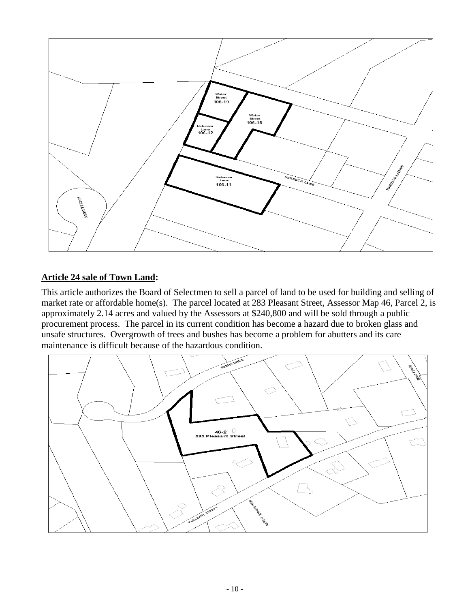

### **Article 24 sale of Town Land:**

This article authorizes the Board of Selectmen to sell a parcel of land to be used for building and selling of market rate or affordable home(s). The parcel located at 283 Pleasant Street, Assessor Map 46, Parcel 2, is approximately 2.14 acres and valued by the Assessors at \$240,800 and will be sold through a public procurement process. The parcel in its current condition has become a hazard due to broken glass and unsafe structures. Overgrowth of trees and bushes has become a problem for abutters and its care maintenance is difficult because of the hazardous condition.

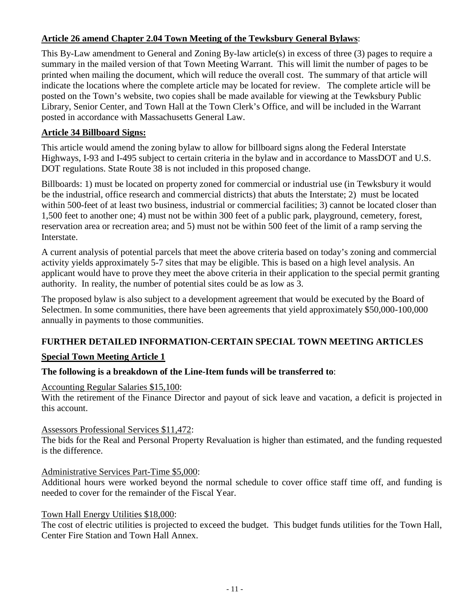### **Article 26 amend Chapter 2.04 Town Meeting of the Tewksbury General Bylaws**:

This By-Law amendment to General and Zoning By-law article(s) in excess of three (3) pages to require a summary in the mailed version of that Town Meeting Warrant. This will limit the number of pages to be printed when mailing the document, which will reduce the overall cost. The summary of that article will indicate the locations where the complete article may be located for review. The complete article will be posted on the Town's website, two copies shall be made available for viewing at the Tewksbury Public Library, Senior Center, and Town Hall at the Town Clerk's Office, and will be included in the Warrant posted in accordance with Massachusetts General Law.

### **Article 34 Billboard Signs:**

This article would amend the zoning bylaw to allow for billboard signs along the Federal Interstate Highways, I-93 and I-495 subject to certain criteria in the bylaw and in accordance to MassDOT and U.S. DOT regulations. State Route 38 is not included in this proposed change.

Billboards: 1) must be located on property zoned for commercial or industrial use (in Tewksbury it would be the industrial, office research and commercial districts) that abuts the Interstate; 2) must be located within 500-feet of at least two business, industrial or commercial facilities; 3) cannot be located closer than 1,500 feet to another one; 4) must not be within 300 feet of a public park, playground, cemetery, forest, reservation area or recreation area; and 5) must not be within 500 feet of the limit of a ramp serving the Interstate.

A current analysis of potential parcels that meet the above criteria based on today's zoning and commercial activity yields approximately 5-7 sites that may be eligible. This is based on a high level analysis. An applicant would have to prove they meet the above criteria in their application to the special permit granting authority. In reality, the number of potential sites could be as low as 3.

The proposed bylaw is also subject to a development agreement that would be executed by the Board of Selectmen. In some communities, there have been agreements that yield approximately \$50,000-100,000 annually in payments to those communities.

### **FURTHER DETAILED INFORMATION-CERTAIN SPECIAL TOWN MEETING ARTICLES**

### **Special Town Meeting Article 1**

### **The following is a breakdown of the Line-Item funds will be transferred to**:

### Accounting Regular Salaries \$15,100:

With the retirement of the Finance Director and payout of sick leave and vacation, a deficit is projected in this account.

### Assessors Professional Services \$11,472:

The bids for the Real and Personal Property Revaluation is higher than estimated, and the funding requested is the difference.

### Administrative Services Part-Time \$5,000:

Additional hours were worked beyond the normal schedule to cover office staff time off, and funding is needed to cover for the remainder of the Fiscal Year.

### Town Hall Energy Utilities \$18,000:

The cost of electric utilities is projected to exceed the budget. This budget funds utilities for the Town Hall, Center Fire Station and Town Hall Annex.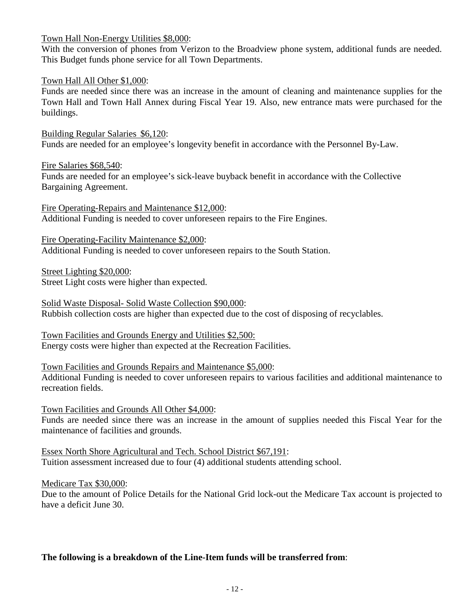Town Hall Non-Energy Utilities \$8,000:

With the conversion of phones from Verizon to the Broadview phone system, additional funds are needed. This Budget funds phone service for all Town Departments.

### Town Hall All Other \$1,000:

Funds are needed since there was an increase in the amount of cleaning and maintenance supplies for the Town Hall and Town Hall Annex during Fiscal Year 19. Also, new entrance mats were purchased for the buildings.

Building Regular Salaries \$6,120: Funds are needed for an employee's longevity benefit in accordance with the Personnel By-Law.

Fire Salaries \$68,540: Funds are needed for an employee's sick-leave buyback benefit in accordance with the Collective Bargaining Agreement.

Fire Operating-Repairs and Maintenance \$12,000: Additional Funding is needed to cover unforeseen repairs to the Fire Engines.

Fire Operating-Facility Maintenance \$2,000: Additional Funding is needed to cover unforeseen repairs to the South Station.

Street Lighting \$20,000: Street Light costs were higher than expected.

Solid Waste Disposal- Solid Waste Collection \$90,000: Rubbish collection costs are higher than expected due to the cost of disposing of recyclables.

Town Facilities and Grounds Energy and Utilities \$2,500: Energy costs were higher than expected at the Recreation Facilities.

Town Facilities and Grounds Repairs and Maintenance \$5,000:

Additional Funding is needed to cover unforeseen repairs to various facilities and additional maintenance to recreation fields.

Town Facilities and Grounds All Other \$4,000:

Funds are needed since there was an increase in the amount of supplies needed this Fiscal Year for the maintenance of facilities and grounds.

Essex North Shore Agricultural and Tech. School District \$67,191: Tuition assessment increased due to four (4) additional students attending school.

Medicare Tax \$30,000:

Due to the amount of Police Details for the National Grid lock-out the Medicare Tax account is projected to have a deficit June 30.

### **The following is a breakdown of the Line-Item funds will be transferred from**: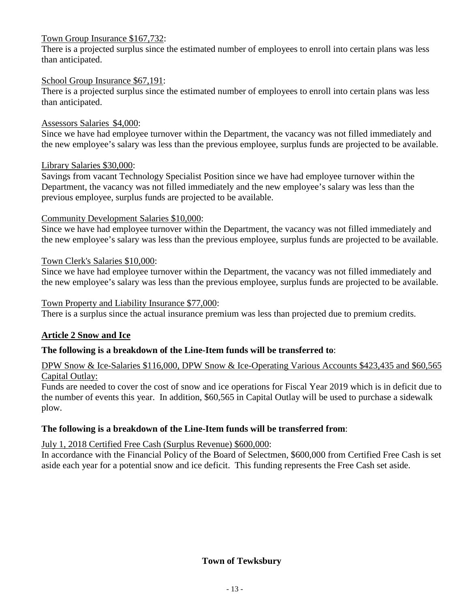### Town Group Insurance \$167,732:

There is a projected surplus since the estimated number of employees to enroll into certain plans was less than anticipated.

### School Group Insurance \$67,191:

There is a projected surplus since the estimated number of employees to enroll into certain plans was less than anticipated.

### Assessors Salaries \$4,000:

Since we have had employee turnover within the Department, the vacancy was not filled immediately and the new employee's salary was less than the previous employee, surplus funds are projected to be available.

### Library Salaries \$30,000:

Savings from vacant Technology Specialist Position since we have had employee turnover within the Department, the vacancy was not filled immediately and the new employee's salary was less than the previous employee, surplus funds are projected to be available.

### Community Development Salaries \$10,000:

Since we have had employee turnover within the Department, the vacancy was not filled immediately and the new employee's salary was less than the previous employee, surplus funds are projected to be available.

### Town Clerk's Salaries \$10,000:

Since we have had employee turnover within the Department, the vacancy was not filled immediately and the new employee's salary was less than the previous employee, surplus funds are projected to be available.

### Town Property and Liability Insurance \$77,000:

There is a surplus since the actual insurance premium was less than projected due to premium credits.

### **Article 2 Snow and Ice**

### **The following is a breakdown of the Line-Item funds will be transferred to**:

### DPW Snow & Ice-Salaries \$116,000, DPW Snow & Ice-Operating Various Accounts \$423,435 and \$60,565 Capital Outlay:

Funds are needed to cover the cost of snow and ice operations for Fiscal Year 2019 which is in deficit due to the number of events this year. In addition, \$60,565 in Capital Outlay will be used to purchase a sidewalk plow.

### **The following is a breakdown of the Line-Item funds will be transferred from**:

### July 1, 2018 Certified Free Cash (Surplus Revenue) \$600,000:

In accordance with the Financial Policy of the Board of Selectmen, \$600,000 from Certified Free Cash is set aside each year for a potential snow and ice deficit. This funding represents the Free Cash set aside.

### **Town of Tewksbury**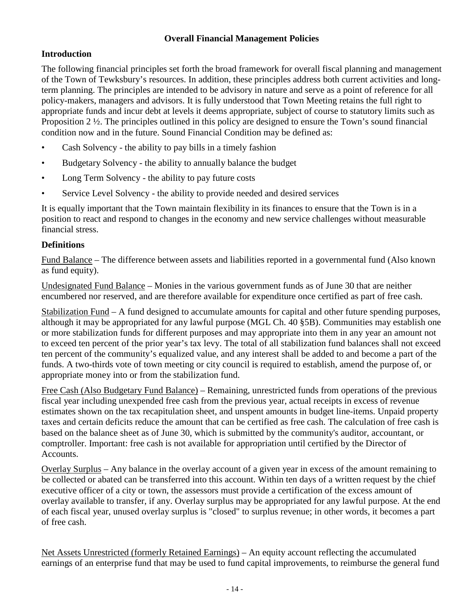### **Overall Financial Management Policies**

### **Introduction**

The following financial principles set forth the broad framework for overall fiscal planning and management of the Town of Tewksbury's resources. In addition, these principles address both current activities and longterm planning. The principles are intended to be advisory in nature and serve as a point of reference for all policy-makers, managers and advisors. It is fully understood that Town Meeting retains the full right to appropriate funds and incur debt at levels it deems appropriate, subject of course to statutory limits such as Proposition  $2 \frac{1}{2}$ . The principles outlined in this policy are designed to ensure the Town's sound financial condition now and in the future. Sound Financial Condition may be defined as:

- Cash Solvency the ability to pay bills in a timely fashion
- Budgetary Solvency the ability to annually balance the budget
- Long Term Solvency the ability to pay future costs
- Service Level Solvency the ability to provide needed and desired services

It is equally important that the Town maintain flexibility in its finances to ensure that the Town is in a position to react and respond to changes in the economy and new service challenges without measurable financial stress.

### **Definitions**

Fund Balance – The difference between assets and liabilities reported in a governmental fund (Also known as fund equity).

Undesignated Fund Balance – Monies in the various government funds as of June 30 that are neither encumbered nor reserved, and are therefore available for expenditure once certified as part of free cash.

Stabilization Fund – A fund designed to accumulate amounts for capital and other future spending purposes, although it may be appropriated for any lawful purpose (MGL Ch. 40 §5B). Communities may establish one or more stabilization funds for different purposes and may appropriate into them in any year an amount not to exceed ten percent of the prior year's tax levy. The total of all stabilization fund balances shall not exceed ten percent of the community's equalized value, and any interest shall be added to and become a part of the funds. A two-thirds vote of town meeting or city council is required to establish, amend the purpose of, or appropriate money into or from the stabilization fund.

Free Cash (Also Budgetary Fund Balance) – Remaining, unrestricted funds from operations of the previous fiscal year including unexpended free cash from the previous year, actual receipts in excess of revenue estimates shown on the tax recapitulation sheet, and unspent amounts in budget line-items. Unpaid property taxes and certain deficits reduce the amount that can be certified as free cash. The calculation of free cash is based on the balance sheet as of June 30, which is submitted by the community's auditor, accountant, or comptroller. Important: free cash is not available for appropriation until certified by the Director of Accounts.

Overlay Surplus – Any balance in the overlay account of a given year in excess of the amount remaining to be collected or abated can be transferred into this account. Within ten days of a written request by the chief executive officer of a city or town, the assessors must provide a certification of the excess amount of overlay available to transfer, if any. Overlay surplus may be appropriated for any lawful purpose. At the end of each fiscal year, unused overlay surplus is "closed" to surplus revenue; in other words, it becomes a part of free cash.

Net Assets Unrestricted (formerly Retained Earnings) – An equity account reflecting the accumulated earnings of an enterprise fund that may be used to fund capital improvements, to reimburse the general fund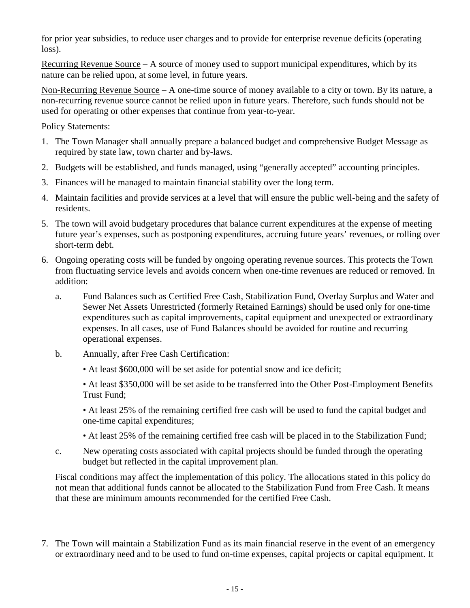for prior year subsidies, to reduce user charges and to provide for enterprise revenue deficits (operating loss).

Recurring Revenue Source – A source of money used to support municipal expenditures, which by its nature can be relied upon, at some level, in future years.

Non-Recurring Revenue Source – A one-time source of money available to a city or town. By its nature, a non-recurring revenue source cannot be relied upon in future years. Therefore, such funds should not be used for operating or other expenses that continue from year-to-year.

Policy Statements:

- 1. The Town Manager shall annually prepare a balanced budget and comprehensive Budget Message as required by state law, town charter and by-laws.
- 2. Budgets will be established, and funds managed, using "generally accepted" accounting principles.
- 3. Finances will be managed to maintain financial stability over the long term.
- 4. Maintain facilities and provide services at a level that will ensure the public well-being and the safety of residents.
- 5. The town will avoid budgetary procedures that balance current expenditures at the expense of meeting future year's expenses, such as postponing expenditures, accruing future years' revenues, or rolling over short-term debt.
- 6. Ongoing operating costs will be funded by ongoing operating revenue sources. This protects the Town from fluctuating service levels and avoids concern when one-time revenues are reduced or removed. In addition:
	- a. Fund Balances such as Certified Free Cash, Stabilization Fund, Overlay Surplus and Water and Sewer Net Assets Unrestricted (formerly Retained Earnings) should be used only for one-time expenditures such as capital improvements, capital equipment and unexpected or extraordinary expenses. In all cases, use of Fund Balances should be avoided for routine and recurring operational expenses.
	- b. Annually, after Free Cash Certification:
		- At least \$600,000 will be set aside for potential snow and ice deficit;
		- At least \$350,000 will be set aside to be transferred into the Other Post-Employment Benefits Trust Fund;
		- At least 25% of the remaining certified free cash will be used to fund the capital budget and one-time capital expenditures;
		- At least 25% of the remaining certified free cash will be placed in to the Stabilization Fund;
	- c. New operating costs associated with capital projects should be funded through the operating budget but reflected in the capital improvement plan.

Fiscal conditions may affect the implementation of this policy. The allocations stated in this policy do not mean that additional funds cannot be allocated to the Stabilization Fund from Free Cash. It means that these are minimum amounts recommended for the certified Free Cash.

7. The Town will maintain a Stabilization Fund as its main financial reserve in the event of an emergency or extraordinary need and to be used to fund on-time expenses, capital projects or capital equipment. It